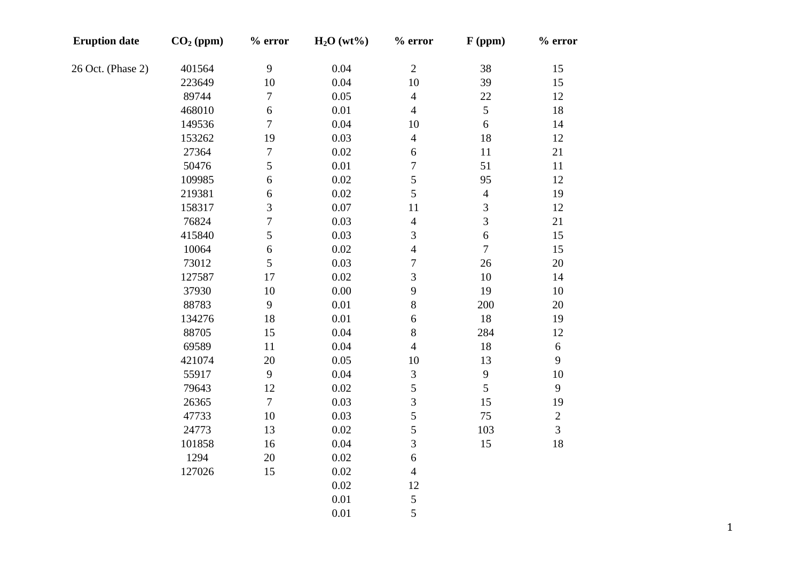| <b>Eruption date</b> | $CO2$ (ppm) | $%$ error        | H <sub>2</sub> O(wt%) | $%$ error      | $F$ (ppm)                | $%$ error      |
|----------------------|-------------|------------------|-----------------------|----------------|--------------------------|----------------|
| 26 Oct. (Phase 2)    | 401564      | 9                | 0.04                  | $\overline{2}$ | 38                       | 15             |
|                      | 223649      | 10               | 0.04                  | 10             | 39                       | 15             |
|                      | 89744       | $\boldsymbol{7}$ | 0.05                  | $\overline{4}$ | $22\,$                   | 12             |
|                      | 468010      | $\sqrt{6}$       | $0.01\,$              | $\overline{4}$ | 5                        | 18             |
|                      | 149536      | $\overline{7}$   | 0.04                  | 10             | $\boldsymbol{6}$         | 14             |
|                      | 153262      | 19               | 0.03                  | $\overline{4}$ | 18                       | 12             |
|                      | 27364       | $\boldsymbol{7}$ | 0.02                  | $\sqrt{6}$     | 11                       | 21             |
|                      | 50476       | 5                | $0.01\,$              | $\overline{7}$ | 51                       | 11             |
|                      | 109985      | 6                | 0.02                  | 5              | 95                       | 12             |
|                      | 219381      | 6                | 0.02                  | 5              | $\overline{\mathcal{L}}$ | 19             |
|                      | 158317      | 3                | 0.07                  | 11             | 3                        | 12             |
|                      | 76824       | $\overline{7}$   | 0.03                  | $\overline{4}$ | $\overline{3}$           | 21             |
|                      | 415840      | 5                | 0.03                  | 3              | $\sqrt{6}$               | 15             |
|                      | 10064       | $\sqrt{6}$       | 0.02                  | $\overline{4}$ | $\tau$                   | 15             |
|                      | 73012       | 5                | 0.03                  | $\overline{7}$ | 26                       | $20\,$         |
|                      | 127587      | 17               | 0.02                  | 3              | 10                       | 14             |
|                      | 37930       | $10\,$           | 0.00                  | 9              | 19                       | $10\,$         |
|                      | 88783       | $\mathbf{9}$     | $0.01\,$              | 8              | 200                      | $20\,$         |
|                      | 134276      | 18               | $0.01\,$              | $\sqrt{6}$     | 18                       | 19             |
|                      | 88705       | 15               | 0.04                  | $8\,$          | 284                      | 12             |
|                      | 69589       | 11               | 0.04                  | $\overline{4}$ | 18                       | $\sqrt{6}$     |
|                      | 421074      | $20\,$           | 0.05                  | $10\,$         | 13                       | 9              |
|                      | 55917       | $\overline{9}$   | 0.04                  | 3              | 9                        | 10             |
|                      | 79643       | 12               | 0.02                  | 5              | 5                        | $\mathbf{9}$   |
|                      | 26365       | $\tau$           | 0.03                  | $\overline{3}$ | 15                       | 19             |
|                      | 47733       | $10\,$           | 0.03                  | 5              | 75                       | $\overline{c}$ |
|                      | 24773       | 13               | 0.02                  | 5              | 103                      | $\overline{3}$ |
|                      | 101858      | 16               | 0.04                  | $\overline{3}$ | 15                       | $18\,$         |
|                      | 1294        | $20\,$           | 0.02                  | $\sqrt{6}$     |                          |                |
|                      | 127026      | 15               | 0.02                  | $\overline{4}$ |                          |                |
|                      |             |                  | 0.02                  | 12             |                          |                |
|                      |             |                  | 0.01                  | $\mathfrak{S}$ |                          |                |
|                      |             |                  | 0.01                  | 5              |                          |                |
|                      |             |                  |                       |                |                          |                |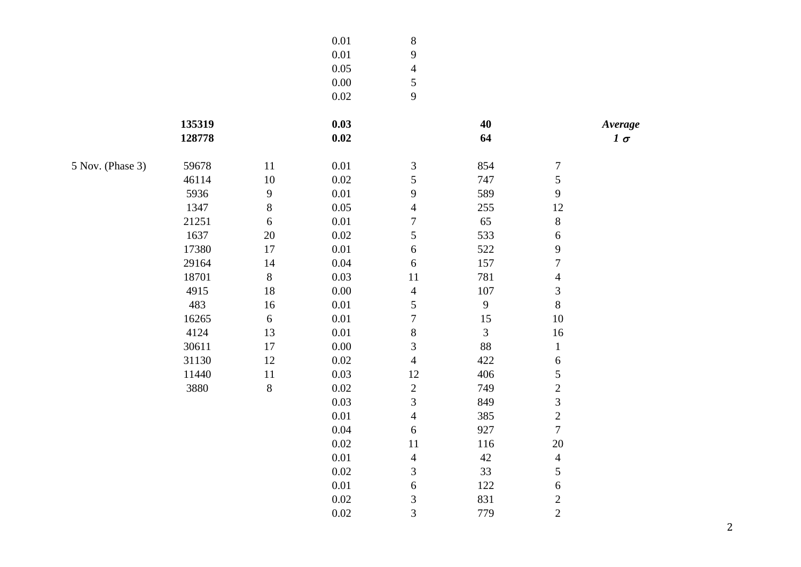|                  |        | $0.01\,$     | $\, 8$   |                         |                |                          |           |
|------------------|--------|--------------|----------|-------------------------|----------------|--------------------------|-----------|
|                  |        |              | $0.01\,$ | $\mathbf{9}$            |                |                          |           |
|                  |        |              | 0.05     | $\overline{4}$          |                |                          |           |
|                  |        |              | $0.00\,$ | $\sqrt{5}$              |                |                          |           |
|                  |        |              | $0.02\,$ | 9                       |                |                          |           |
|                  | 135319 |              | 0.03     |                         | 40             |                          | Average   |
|                  | 128778 |              | $0.02\,$ |                         | 64             |                          | $1\sigma$ |
| 5 Nov. (Phase 3) | 59678  | 11           | 0.01     | $\mathfrak{Z}$          | 854            | 7                        |           |
|                  | 46114  | $10\,$       | 0.02     | 5                       | 747            | 5                        |           |
|                  | 5936   | $\mathbf{9}$ | $0.01\,$ | $\overline{9}$          | 589            | $\mathbf{9}$             |           |
|                  | 1347   | $\,8\,$      | 0.05     | $\overline{4}$          | 255            | 12                       |           |
|                  | 21251  | $\sqrt{6}$   | $0.01\,$ | $\boldsymbol{7}$        | 65             | $\,8\,$                  |           |
|                  | 1637   | $20\,$       | $0.02\,$ | 5                       | 533            | $\sqrt{6}$               |           |
|                  | 17380  | $17\,$       | $0.01\,$ | 6                       | 522            | $\mathbf{9}$             |           |
|                  | 29164  | 14           | $0.04\,$ | $\boldsymbol{6}$        | 157            | $\tau$                   |           |
|                  | 18701  | $\,8\,$      | 0.03     | 11                      | 781            | $\overline{\mathcal{A}}$ |           |
|                  | 4915   | 18           | $0.00\,$ | $\overline{4}$          | 107            | 3                        |           |
|                  | 483    | 16           | $0.01\,$ | 5                       | 9              | $8\,$                    |           |
|                  | 16265  | $\sqrt{6}$   | 0.01     | $\boldsymbol{7}$        | $15\,$         | $10\,$                   |           |
|                  | 4124   | 13           | $0.01\,$ | $\,8$                   | $\mathfrak{Z}$ | 16                       |           |
|                  | 30611  | $17\,$       | $0.00\,$ | 3                       | 88             | $\mathbf{1}$             |           |
|                  | 31130  | 12           | $0.02\,$ | $\overline{4}$          | 422            | $\sqrt{6}$               |           |
|                  | 11440  | $11\,$       | 0.03     | 12                      | 406            | 5                        |           |
|                  | 3880   | $\,8\,$      | 0.02     | $\overline{c}$          | 749            | $\overline{c}$           |           |
|                  |        |              | 0.03     | $\overline{3}$          | 849            | 3                        |           |
|                  |        |              | $0.01\,$ | $\overline{4}$          | 385            | $\sqrt{2}$               |           |
|                  |        |              | $0.04\,$ | 6                       | 927            | $\overline{7}$           |           |
|                  |        |              | $0.02\,$ | 11                      | 116            | 20                       |           |
|                  |        |              | $0.01\,$ | $\overline{4}$          | $42\,$         | $\overline{4}$           |           |
|                  |        |              | $0.02\,$ | 3                       | 33             | 5                        |           |
|                  |        |              | $0.01\,$ | $\boldsymbol{6}$        | 122            | $\sqrt{6}$               |           |
|                  |        |              | $0.02\,$ | $\mathfrak{Z}$          | 831            | $\overline{c}$           |           |
|                  |        |              | 0.02     | $\overline{\mathbf{3}}$ | 779            | $\overline{2}$           |           |